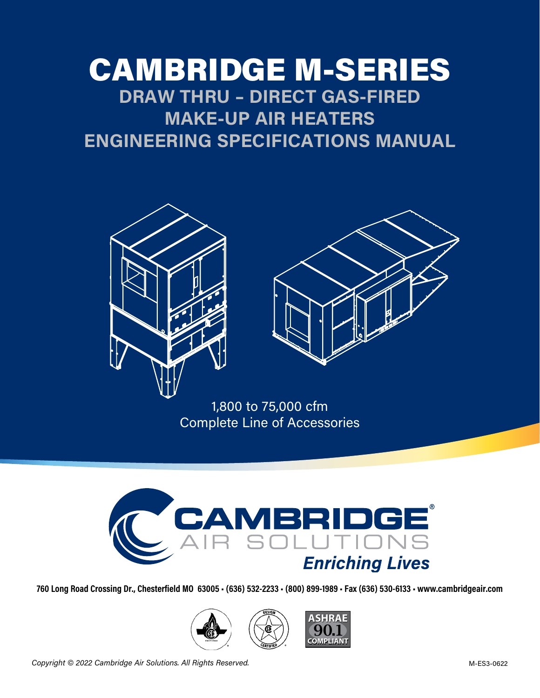# CAMBRIDGE M-SERIES **DRAW THRU – DIRECT GAS-FIRED MAKE-UP AIR HEATERS ENGINEERING SPECIFICATIONS MANUAL**





1,800 to 75,000 cfm Complete Line of Accessories



**760 Long Road Crossing Dr., Chesterfield MO 63005 • (636) 532-2233 • (800) 899-1989 • Fax (636) 530-6133 • www.cambridgeair.com**





*Copyright © 2022 Cambridge Air Solutions. All Rights Reserved.* M-ES3-0622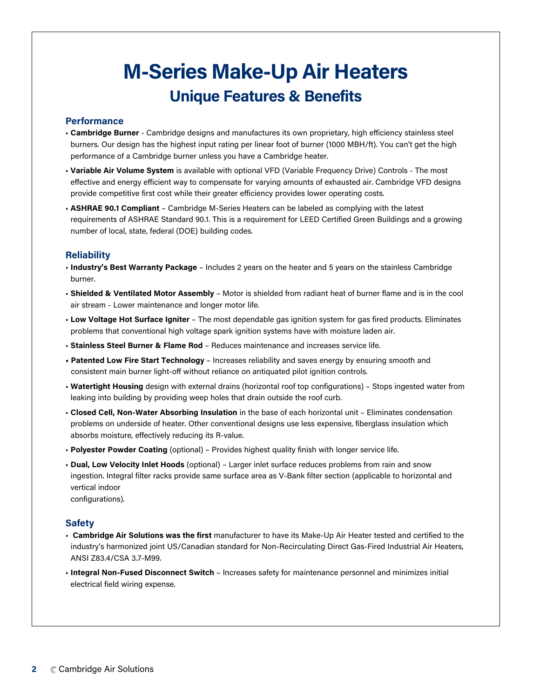# **Unique Features & Benefits M-Series Make-Up Air Heaters**

#### **Performance**

- **Cambridge Burner**  Cambridge designs and manufactures its own proprietary, high efficiency stainless steel burners. Our design has the highest input rating per linear foot of burner (1000 MBH/ft). You can't get the high performance of a Cambridge burner unless you have a Cambridge heater.
- **Variable Air Volume System** is available with optional VFD (Variable Frequency Drive) Controls The most effective and energy efficient way to compensate for varying amounts of exhausted air. Cambridge VFD designs provide competitive first cost while their greater efficiency provides lower operating costs.
- **ASHRAE 90.1 Compliant** Cambridge M-Series Heaters can be labeled as complying with the latest requirements of ASHRAE Standard 90.1. This is a requirement for LEED Certified Green Buildings and a growing number of local, state, federal (DOE) building codes.

### **Reliability**

- **Industry's Best Warranty Package** Includes 2 years on the heater and 5 years on the stainless Cambridge burner.
- **Shielded & Ventilated Motor Assembly** Motor is shielded from radiant heat of burner flame and is in the cool air stream - Lower maintenance and longer motor life.
- **Low Voltage Hot Surface Igniter** The most dependable gas ignition system for gas fired products. Eliminates problems that conventional high voltage spark ignition systems have with moisture laden air.
- **Stainless Steel Burner & Flame Rod** Reduces maintenance and increases service life.
- **Patented Low Fire Start Technology** Increases reliability and saves energy by ensuring smooth and consistent main burner light-off without reliance on antiquated pilot ignition controls.
- **Watertight Housing** design with external drains (horizontal roof top configurations) Stops ingested water from leaking into building by providing weep holes that drain outside the roof curb.
- **Closed Cell, Non-Water Absorbing Insulation** in the base of each horizontal unit Eliminates condensation problems on underside of heater. Other conventional designs use less expensive, fiberglass insulation which absorbs moisture, effectively reducing its R-value.
- **Polyester Powder Coating** (optional) Provides highest quality finish with longer service life.
- **Dual, Low Velocity Inlet Hoods** (optional) Larger inlet surface reduces problems from rain and snow ingestion. Integral filter racks provide same surface area as V-Bank filter section (applicable to horizontal and vertical indoor configurations).

# **Safety**

- **Cambridge Air Solutions was the first** manufacturer to have its Make-Up Air Heater tested and certified to the industry's harmonized joint US/Canadian standard for Non-Recirculating Direct Gas-Fired Industrial Air Heaters, ANSI Z83.4/CSA 3.7-M99.
- **Integral Non-Fused Disconnect Switch** Increases safety for maintenance personnel and minimizes initial electrical field wiring expense.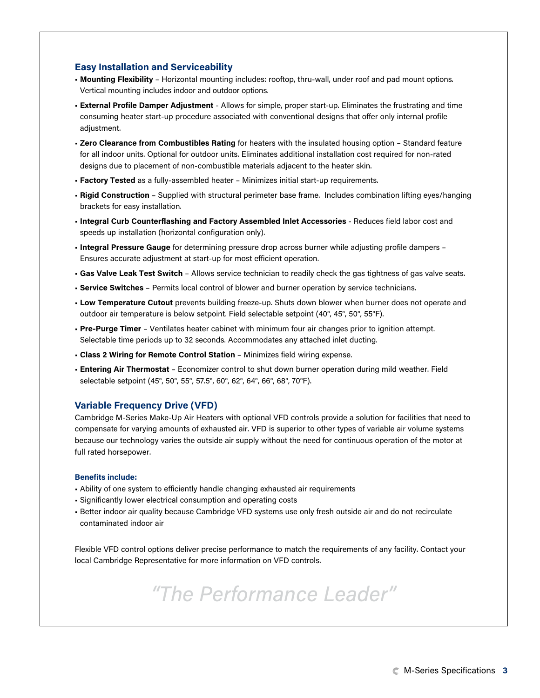#### **Easy Installation and Serviceability**

- **Mounting Flexibility** Horizontal mounting includes: rooftop, thru-wall, under roof and pad mount options. Vertical mounting includes indoor and outdoor options.
- **External Profile Damper Adjustment** Allows for simple, proper start-up. Eliminates the frustrating and time consuming heater start-up procedure associated with conventional designs that offer only internal profile adiustment.
- **Zero Clearance from Combustibles Rating** for heaters with the insulated housing option Standard feature for all indoor units. Optional for outdoor units. Eliminates additional installation cost required for non-rated designs due to placement of non-combustible materials adjacent to the heater skin.
- **Factory Tested** as a fully-assembled heater Minimizes initial start-up requirements.
- **Rigid Construction** Supplied with structural perimeter base frame. Includes combination lifting eyes/hanging brackets for easy installation.
- **Integral Curb Counterflashing and Factory Assembled Inlet Accessories** Reduces field labor cost and speeds up installation (horizontal configuration only).
- **Integral Pressure Gauge** for determining pressure drop across burner while adjusting profile dampers Ensures accurate adjustment at start-up for most efficient operation.
- **Gas Valve Leak Test Switch** Allows service technician to readily check the gas tightness of gas valve seats.
- **Service Switches** Permits local control of blower and burner operation by service technicians.
- **Low Temperature Cutout** prevents building freeze-up. Shuts down blower when burner does not operate and outdoor air temperature is below setpoint. Field selectable setpoint (40°, 45°, 50°, 55°F).
- **Pre-Purge Timer** Ventilates heater cabinet with minimum four air changes prior to ignition attempt. Selectable time periods up to 32 seconds. Accommodates any attached inlet ducting.
- **Class 2 Wiring for Remote Control Station** Minimizes field wiring expense.
- **Entering Air Thermostat** Economizer control to shut down burner operation during mild weather. Field selectable setpoint (45°, 50°, 55°, 57.5°, 60°, 62°, 64°, 66°, 68°, 70°F).

#### **Variable Frequency Drive (VFD)**

Cambridge M-Series Make-Up Air Heaters with optional VFD controls provide a solution for facilities that need to compensate for varying amounts of exhausted air. VFD is superior to other types of variable air volume systems because our technology varies the outside air supply without the need for continuous operation of the motor at full rated horsepower.

#### **Benefits include:**

- Ability of one system to efficiently handle changing exhausted air requirements
- Significantly lower electrical consumption and operating costs
- Better indoor air quality because Cambridge VFD systems use only fresh outside air and do not recirculate contaminated indoor air

Flexible VFD control options deliver precise performance to match the requirements of any facility. Contact your local Cambridge Representative for more information on VFD controls.

# *"The Performance Leader"*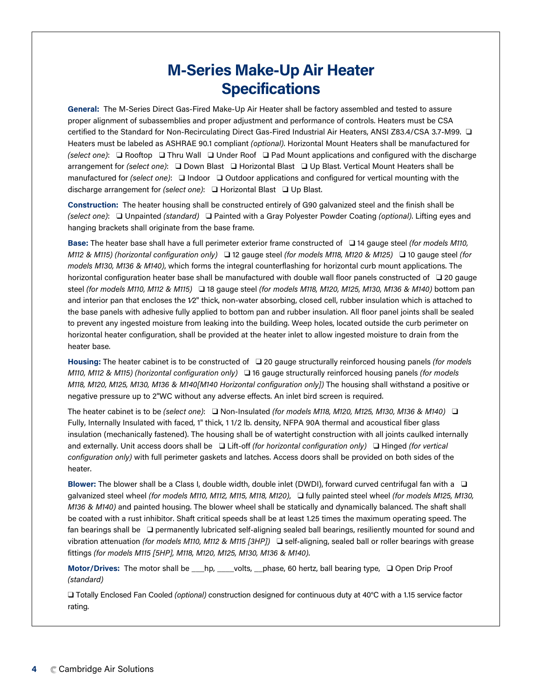# **M-Series Make-Up Air Heater Specifications**

**General:** The M-Series Direct Gas-Fired Make-Up Air Heater shall be factory assembled and tested to assure proper alignment of subassemblies and proper adjustment and performance of controls. Heaters must be CSA certified to the Standard for Non-Recirculating Direct Gas-Fired Industrial Air Heaters, ANSI Z83.4/CSA 3.7-M99. ❑ Heaters must be labeled as ASHRAE 90.1 compliant *(optional)*. Horizontal Mount Heaters shall be manufactured for *(select one)*: ❑ Rooftop ❑ Thru Wall ❑ Under Roof ❑ Pad Mount applications and configured with the discharge arrangement for *(select one)*: ❑ Down Blast ❑ Horizontal Blast ❑ Up Blast. Vertical Mount Heaters shall be manufactured for *(select one)*: ❑ Indoor ❑ Outdoor applications and configured for vertical mounting with the discharge arrangement for *(select one)*: ❑ Horizontal Blast ❑ Up Blast.

**Construction:** The heater housing shall be constructed entirely of G90 galvanized steel and the finish shall be *(select one)*: ❑ Unpainted *(standard)* ❑ Painted with a Gray Polyester Powder Coating *(optional)*. Lifting eyes and hanging brackets shall originate from the base frame.

**Base:** The heater base shall have a full perimeter exterior frame constructed of ❑ 14 gauge steel *(for models M110, M112 & M115) (horizontal configuration only)* ❑ 12 gauge steel *(for models M118, M120 & M125)* ❑ 10 gauge steel *(for models M130, M136 & M140)*, which forms the integral counterflashing for horizontal curb mount applications. The horizontal configuration heater base shall be manufactured with double wall floor panels constructed of ❑ 20 gauge steel *(for models M110, M112 & M115)* ❑ 18 gauge steel *(for models M118, M120, M125, M130, M136 & M140)* bottom pan and interior pan that encloses the 1/2" thick, non-water absorbing, closed cell, rubber insulation which is attached to the base panels with adhesive fully applied to bottom pan and rubber insulation. All floor panel joints shall be sealed to prevent any ingested moisture from leaking into the building. Weep holes, located outside the curb perimeter on horizontal heater configuration, shall be provided at the heater inlet to allow ingested moisture to drain from the heater base.

**Housing:** The heater cabinet is to be constructed of ❑ 20 gauge structurally reinforced housing panels *(for models M110, M112 & M115) (horizontal configuration only)* ❑ 16 gauge structurally reinforced housing panels *(for models M118, M120, M125, M130, M136 & M140[M140 Horizontal configuration only])* The housing shall withstand a positive or negative pressure up to 2"WC without any adverse effects. An inlet bird screen is required.

The heater cabinet is to be *(select one)*: ❑ Non-Insulated *(for models M118, M120, M125, M130, M136 & M140)* ❑ Fully, Internally Insulated with faced, 1" thick, 1 1/2 lb. density, NFPA 90A thermal and acoustical fiber glass insulation (mechanically fastened). The housing shall be of watertight construction with all joints caulked internally and externally. Unit access doors shall be ❑ Lift-off *(for horizontal configuration only)* ❑ Hinged *(for vertical configuration only)* with full perimeter gaskets and latches. Access doors shall be provided on both sides of the heater.

**Blower:** The blower shall be a Class I, double width, double inlet (DWDI), forward curved centrifugal fan with a ❑ galvanized steel wheel *(for models M110, M112, M115, M118, M120)*, ❑ fully painted steel wheel *(for models M125, M130, M136 & M140)* and painted housing. The blower wheel shall be statically and dynamically balanced. The shaft shall be coated with a rust inhibitor. Shaft critical speeds shall be at least 1.25 times the maximum operating speed. The fan bearings shall be ❑ permanently lubricated self-aligning sealed ball bearings, resiliently mounted for sound and vibration attenuation *(for models M110, M112 & M115 [3HP])* ❑ self-aligning, sealed ball or roller bearings with grease fittings *(for models M115 [5HP], M118, M120, M125, M130, M136 & M140)*.

**Motor/Drives:** The motor shall be \_\_\_hp, \_\_\_\_volts, \_\_phase, 60 hertz, ball bearing type, ❑ Open Drip Proof *(standard)*

❑ Totally Enclosed Fan Cooled *(optional)* construction designed for continuous duty at 40°C with a 1.15 service factor rating.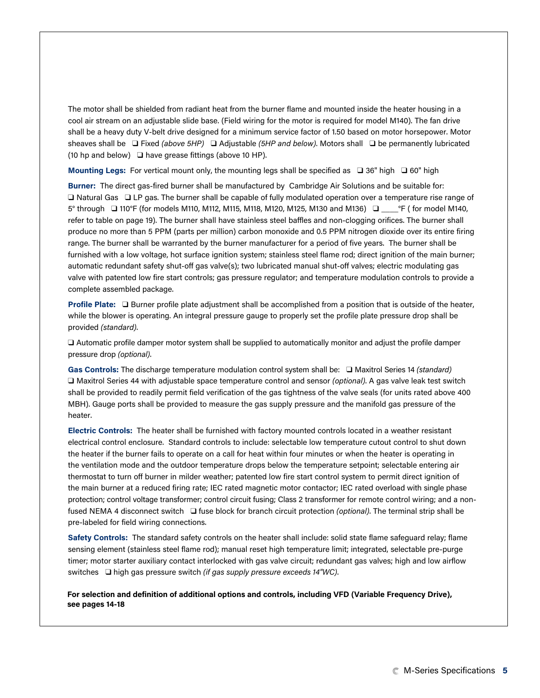The motor shall be shielded from radiant heat from the burner flame and mounted inside the heater housing in a cool air stream on an adjustable slide base. (Field wiring for the motor is required for model M140). The fan drive shall be a heavy duty V-belt drive designed for a minimum service factor of 1.50 based on motor horsepower. Motor sheaves shall be ❑ Fixed *(above 5HP)* ❑ Adjustable *(5HP and below)*. Motors shall ❑ be permanently lubricated (10 hp and below) ❑ have grease fittings (above 10 HP).

**Mounting Legs:** For vertical mount only, the mounting legs shall be specified as ❑ 36" high ❑ 60" high

**Burner:** The direct gas-fired burner shall be manufactured by Cambridge Air Solutions and be suitable for: ❑ Natural Gas ❑ LP gas. The burner shall be capable of fully modulated operation over a temperature rise range of 5° through ❑ 110°F (for models M110, M112, M115, M118, M120, M125, M130 and M136) ❑ \_\_\_\_°F ( for model M140, refer to table on page 19). The burner shall have stainless steel baffles and non-clogging orifices. The burner shall produce no more than 5 PPM (parts per million) carbon monoxide and 0.5 PPM nitrogen dioxide over its entire firing range. The burner shall be warranted by the burner manufacturer for a period of five years. The burner shall be furnished with a low voltage, hot surface ignition system; stainless steel flame rod; direct ignition of the main burner; automatic redundant safety shut-off gas valve(s); two lubricated manual shut-off valves; electric modulating gas valve with patented low fire start controls; gas pressure regulator; and temperature modulation controls to provide a complete assembled package.

**Profile Plate:** ❑ Burner profile plate adjustment shall be accomplished from a position that is outside of the heater, while the blower is operating. An integral pressure gauge to properly set the profile plate pressure drop shall be provided *(standard)*.

❑ Automatic profile damper motor system shall be supplied to automatically monitor and adjust the profile damper pressure drop *(optional)*.

**Gas Controls:** The discharge temperature modulation control system shall be: ❑ Maxitrol Series 14 *(standard)* ❑ Maxitrol Series 44 with adjustable space temperature control and sensor *(optional)*. A gas valve leak test switch shall be provided to readily permit field verification of the gas tightness of the valve seals (for units rated above 400 MBH). Gauge ports shall be provided to measure the gas supply pressure and the manifold gas pressure of the heater.

**Electric Controls:** The heater shall be furnished with factory mounted controls located in a weather resistant electrical control enclosure. Standard controls to include: selectable low temperature cutout control to shut down the heater if the burner fails to operate on a call for heat within four minutes or when the heater is operating in the ventilation mode and the outdoor temperature drops below the temperature setpoint; selectable entering air thermostat to turn off burner in milder weather; patented low fire start control system to permit direct ignition of the main burner at a reduced firing rate; IEC rated magnetic motor contactor; IEC rated overload with single phase protection; control voltage transformer; control circuit fusing; Class 2 transformer for remote control wiring; and a nonfused NEMA 4 disconnect switch ❑ fuse block for branch circuit protection *(optional)*. The terminal strip shall be pre-labeled for field wiring connections.

**Safety Controls:** The standard safety controls on the heater shall include: solid state flame safeguard relay; flame sensing element (stainless steel flame rod); manual reset high temperature limit; integrated, selectable pre-purge timer; motor starter auxiliary contact interlocked with gas valve circuit; redundant gas valves; high and low airflow switches ❑ high gas pressure switch *(if gas supply pressure exceeds 14"WC)*.

**For selection and definition of additional options and controls, including VFD (Variable Frequency Drive), see pages 14-18**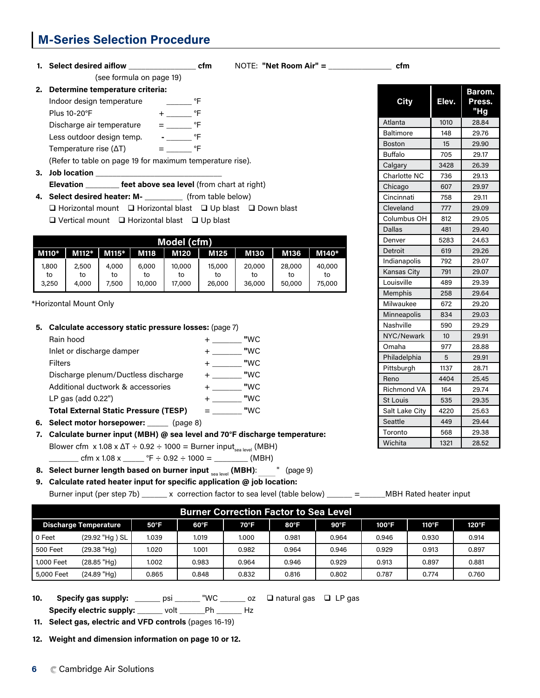# **M-Series Selection Procedure**

1. Select desired aiflow \_\_\_\_\_\_\_\_\_\_\_\_\_\_\_\_\_\_\_\_\_\_\_ cfm NOTE: "Net Room Air" = \_\_\_\_\_\_\_\_\_\_\_\_\_\_\_\_\_\_\_\_ cfm (see formula on page 19)

**2. Determine temperature criteria:** Indoor design temperature \_\_\_\_\_\_ °F Plus 10-20°F + Plus 10-20°F Discharge air temperature  $=$  \_\_\_\_\_\_  $\text{P}$ °F Less outdoor design temp. **-** PF Temperature rise  $(\Delta T)$  =  $\degree$ F (Refer to table on page 19 for maximum temperature rise). **3. Job location \_\_\_\_\_\_\_\_\_\_\_\_\_\_\_\_\_\_\_\_\_\_\_\_\_\_\_\_\_\_**

**Elevation \_\_\_\_\_\_\_\_ feet above sea level** (from chart at right)

**4. Select desired heater: M- \_\_\_\_\_\_\_\_\_** (from table below)

| $\Box$ Horizontal mount $\Box$ Horizontal blast $\Box$ Up blast $\Box$ Down blast |  |  |  |
|-----------------------------------------------------------------------------------|--|--|--|
| $\Box$ Vertical mount $\Box$ Horizontal blast $\Box$ Up blast                     |  |  |  |

|             | Model (cfm) |             |              |              |              |              |              |              |  |  |  |  |  |  |
|-------------|-------------|-------------|--------------|--------------|--------------|--------------|--------------|--------------|--|--|--|--|--|--|
| M110*       | $M112*$     | $M115*$     | M118         | M120         | M125         | M130         | M136         | M140*        |  |  |  |  |  |  |
| 1,800       | 2,500       | 4,000       | 6,000        | 10,000       | 15,000       | 20,000       | 28,000       | 40,000       |  |  |  |  |  |  |
| to<br>3,250 | to<br>4,000 | to<br>7,500 | to<br>10,000 | to<br>17,000 | to<br>26,000 | to<br>36,000 | to<br>50,000 | to<br>75,000 |  |  |  |  |  |  |

\*Horizontal Mount Only

| 5. Calculate accessory static pressure losses: (page 7) |     |
|---------------------------------------------------------|-----|
| Rain hood                                               | "WC |
| Inlet or discharge damper                               | "WC |
| <b>Filters</b>                                          | "WC |
| Discharge plenum/Ductless discharge                     | "WC |
| Additional ductwork & accessories                       | "WC |
| LP gas (add $0.22"$ )                                   | "WC |
| <b>Total External Static Pressure (TESP)</b>            | "WC |
| - - - - -                                               |     |

**6. Select motor horsepower: \_\_\_\_\_** (page 8)

**7. Calculate burner input (MBH) @ sea level and 70°F discharge temperature:** Blower cfm  $x 1.08 x \Delta T \div 0.92 \div 1000 =$  Burner input<sub>sea level</sub> (MBH)  $\mu$  cfm x 1.08 x  $\mu$  °F  $\div$  0.92  $\div$  1000 =  $\mu$  (MBH)

**8. Select burner length based on burner input <sub>sea level</sub> (MBH): \_\_\_\_<sup>"</sup> (page 9)** 

 **9. Calculate rated heater input for specific application @ job location:** 

Burner input (per step 7b) \_\_\_\_\_\_ x correction factor to sea level (table below) \_\_\_\_\_\_ =\_\_\_\_\_\_MBH Rated heater input

|                              | <b>Burner Correction Factor to Sea Level</b> |                |               |       |       |                |       |       |                |  |  |  |  |  |
|------------------------------|----------------------------------------------|----------------|---------------|-------|-------|----------------|-------|-------|----------------|--|--|--|--|--|
| <b>Discharge Temperature</b> |                                              | $50^{\circ}$ F | $60^{\circ}F$ | 70°F  | 80°F  | $90^{\circ}$ F | 100°F | 110°F | $120^{\circ}F$ |  |  |  |  |  |
| l 0 Feet                     | (29.92 "Hg) SL                               | 1.039          | 1.019         | 1.000 | 0.981 | 0.964          | 0.946 | 0.930 | 0.914          |  |  |  |  |  |
| 500 Feet                     | (29.38 "Hg)                                  | 1.020          | 1.001         | 0.982 | 0.964 | 0.946          | 0.929 | 0.913 | 0.897          |  |  |  |  |  |
| 1,000 Feet                   | $(28.85$ "Hg)                                | 1.002          | 0.983         | 0.964 | 0.946 | 0.929          | 0.913 | 0.897 | 0.881          |  |  |  |  |  |
| 5,000 Feet                   | (24.89 "Hq)                                  | 0.865          | 0.848         | 0.832 | 0.816 | 0.802          | 0.787 | 0.774 | 0.760          |  |  |  |  |  |

**10.** Specify gas supply: \_\_\_\_\_\_ psi \_\_\_\_\_\_ "WC \_\_\_\_\_\_ oz  $\Box$  natural gas  $\Box$  LP gas **Specify electric supply:** \_\_\_\_\_\_ volt \_\_\_\_\_\_Ph \_\_\_\_\_\_ Hz

**11. Select gas, electric and VFD controls** (pages 16-19)

**12. Weight and dimension information on page 10 or 12.**

| <b>City</b>        | Elev. | Barom.<br>Press.<br>"Hg |
|--------------------|-------|-------------------------|
| Atlanta            | 1010  | 28.84                   |
| <b>Baltimore</b>   | 148   | 29.76                   |
| <b>Boston</b>      | 15    | 29.90                   |
| <b>Buffalo</b>     | 705   | 29.17                   |
| Calgary            | 3428  | 26.39                   |
| Charlotte NC       | 736   | 29.13                   |
| Chicago            | 607   | 29.97                   |
| Cincinnati         | 758   | 29.11                   |
| Cleveland          | 777   | 29.09                   |
| Columbus OH        | 812   | 29.05                   |
| Dallas             | 481   | 29.40                   |
| Denver             | 5283  | 24.63                   |
| Detroit            | 619   | 29.26                   |
| Indianapolis       | 792   | 29.07                   |
| Kansas City        | 791   | 29.07                   |
| Louisville         | 489   | 29.39                   |
| Memphis            | 258   | 29.64                   |
| Milwaukee          | 672   | 29.20                   |
| <b>Minneapolis</b> | 834   | 29.03                   |
| Nashville          | 590   | 29.29                   |
| NYC/Newark         | 10    | 29.91                   |
| Omaha              | 977   | 28.88                   |
| Philadelphia       | 5     | 29.91                   |
| Pittsburgh         | 1137  | 28.71                   |
| Reno               | 4404  | 25,45                   |
| <b>Richmond VA</b> | 164   | 29.74                   |
| <b>St Louis</b>    | 535   | 29.35                   |
| Salt Lake City     | 4220  | 25.63                   |
| Seattle            | 449   | 29.44                   |
| Toronto            | 568   | 29.38                   |
| Wichita            | 1321  | 28.52                   |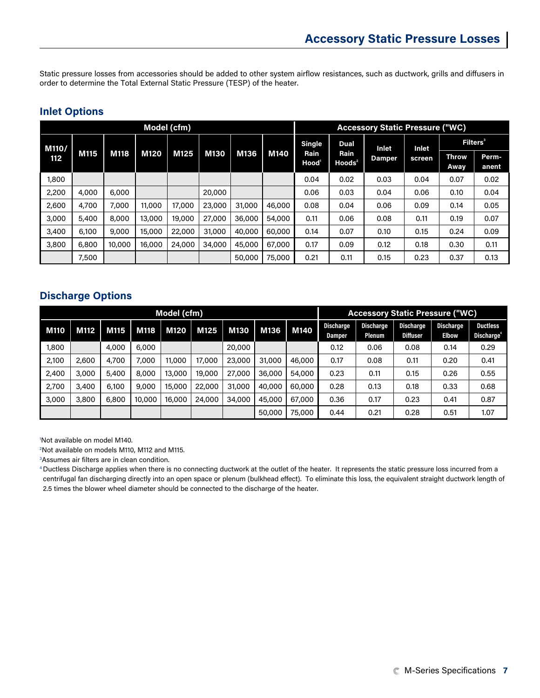Static pressure losses from accessories should be added to other system airflow resistances, such as ductwork, grills and diffusers in order to determine the Total External Static Pressure (TESP) of the heater.

## **Inlet Options**

|       |       |        |             | Model (cfm) |             |        |        | <b>Accessory Static Pressure ("WC)</b> |                      |               |        |                      |                |  |
|-------|-------|--------|-------------|-------------|-------------|--------|--------|----------------------------------------|----------------------|---------------|--------|----------------------|----------------|--|
| M110/ |       |        |             |             |             |        |        | <b>Single</b>                          | <b>Dual</b>          | Inlet         | Inlet  | Filters <sup>3</sup> |                |  |
| 112   | M115  | M118   | <b>M120</b> | M125        | <b>M130</b> | M136   | M140   | Rain<br>Hood <sup>'</sup>              | Rain<br>$H$ oods $2$ | <b>Damper</b> | screen | <b>Throw</b><br>Away | Perm-<br>anent |  |
| 1,800 |       |        |             |             |             |        |        | 0.04                                   | 0.02                 | 0.03          | 0.04   | 0.07                 | 0.02           |  |
| 2,200 | 4,000 | 6,000  |             |             | 20,000      |        |        | 0.06                                   | 0.03                 | 0.04          | 0.06   | 0.10                 | 0.04           |  |
| 2,600 | 4,700 | 7,000  | 11,000      | 17,000      | 23,000      | 31,000 | 46,000 | 0.08                                   | 0.04                 | 0.06          | 0.09   | 0.14                 | 0.05           |  |
| 3,000 | 5,400 | 8,000  | 13,000      | 19,000      | 27,000      | 36,000 | 54,000 | 0.11                                   | 0.06                 | 0.08          | 0.11   | 0.19                 | 0.07           |  |
| 3,400 | 6,100 | 9,000  | 15,000      | 22,000      | 31,000      | 40,000 | 60,000 | 0.14                                   | 0.07                 | 0.10          | 0.15   | 0.24                 | 0.09           |  |
| 3,800 | 6,800 | 10,000 | 16,000      | 24,000      | 34,000      | 45,000 | 67,000 | 0.17                                   | 0.09                 | 0.12          | 0.18   | 0.30                 | 0.11           |  |
|       | 7,500 |        |             |             |             | 50,000 | 75,000 | 0.21                                   | 0.11                 | 0.15          | 0.23   | 0.37                 | 0.13           |  |

## **Discharge Options**

|       |       |       |        | Model (cfm) |        |        |        |        | <b>Accessory Static Pressure ("WC)</b> |                            |                                     |                                  |                                           |
|-------|-------|-------|--------|-------------|--------|--------|--------|--------|----------------------------------------|----------------------------|-------------------------------------|----------------------------------|-------------------------------------------|
| M110  | M112  | M115  | M118   | <b>M120</b> | M125   | M130   | M136   | M140   | <b>Discharge</b><br>Damper             | <b>Discharge</b><br>Plenum | <b>Discharge</b><br><b>Diffuser</b> | <b>Discharge</b><br><b>Elbow</b> | <b>Ductless</b><br>Discharge <sup>*</sup> |
| 1,800 |       | 4,000 | 6,000  |             |        | 20,000 |        |        | 0.12                                   | 0.06                       | 0.08                                | 0.14                             | 0.29                                      |
| 2,100 | 2,600 | 4,700 | 7,000  | 11,000      | 17,000 | 23,000 | 31,000 | 46,000 | 0.17                                   | 0.08                       | 0.11                                | 0.20                             | 0.41                                      |
| 2,400 | 3,000 | 5,400 | 8,000  | 13,000      | 19,000 | 27,000 | 36,000 | 54,000 | 0.23                                   | 0.11                       | 0.15                                | 0.26                             | 0.55                                      |
| 2,700 | 3,400 | 6,100 | 9,000  | 15,000      | 22,000 | 31,000 | 40,000 | 60,000 | 0.28                                   | 0.13                       | 0.18                                | 0.33                             | 0.68                                      |
| 3,000 | 3,800 | 6,800 | 10,000 | 16,000      | 24,000 | 34,000 | 45,000 | 67,000 | 0.36                                   | 0.17                       | 0.23                                | 0.41                             | 0.87                                      |
|       |       |       |        |             |        |        | 50,000 | 75,000 | 0.44                                   | 0.21                       | 0.28                                | 0.51                             | 1.07                                      |

1 Not available on model M140.

2 Not available on models M110, M112 and M115.

3 Assumes air filters are in clean condition.

<sup>4</sup> Ductless Discharge applies when there is no connecting ductwork at the outlet of the heater. It represents the static pressure loss incurred from a centrifugal fan discharging directly into an open space or plenum (bulkhead effect). To eliminate this loss, the equivalent straight ductwork length of 2.5 times the blower wheel diameter should be connected to the discharge of the heater.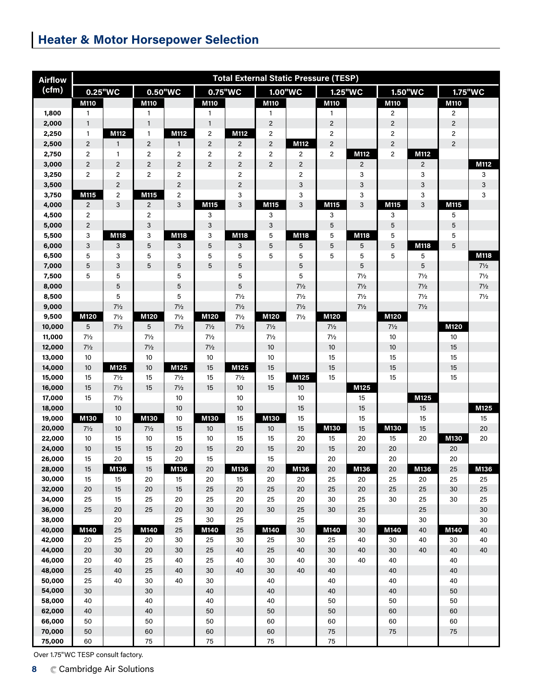# **Heater & Motor Horsepower Selection**

| <b>Airflow</b>   |                | <b>Total External Static Pressure (TESP)</b> |                |                     |                         |                |                           |                                  |                |                                  |                         |                     |                         |                                  |
|------------------|----------------|----------------------------------------------|----------------|---------------------|-------------------------|----------------|---------------------------|----------------------------------|----------------|----------------------------------|-------------------------|---------------------|-------------------------|----------------------------------|
| (cfm)            | 0.25"WC        |                                              |                | 0.50"WC             |                         | 0.75"WC        |                           | 1.00"WC                          | 1.25"WC        |                                  |                         | 1.50"WC             | 1.75"WC                 |                                  |
|                  | M110           |                                              | M110           |                     | M110                    |                | M110                      |                                  | M110           |                                  | <b>M110</b>             |                     | M110                    |                                  |
| 1,800            | 1              |                                              | 1              |                     | 1                       |                | $\mathbf{1}$              |                                  | 1              |                                  | 2                       |                     | 2                       |                                  |
| 2,000            | $\mathbf{1}$   |                                              | $\mathbf{1}$   |                     | $\mathbf{1}$            |                | $\mathbf 2$               |                                  | $\overline{c}$ |                                  | $\mathbf 2$             |                     | $\mathbf{2}$            |                                  |
| 2,250            | $\mathbf{1}$   | M112                                         | $\mathbf{1}$   | M112                | $\overline{\mathbf{c}}$ | M112           | $\overline{c}$            |                                  | $\overline{c}$ |                                  | $\overline{c}$          |                     | $\overline{\mathbf{c}}$ |                                  |
| 2,500            | $\overline{2}$ | $\mathbf{1}$                                 | $\overline{2}$ | $\mathbf{1}$        | $\mathbf 2$             | $\overline{2}$ | $\mathbf 2$               | M112                             | $\mathbf 2$    |                                  | $\overline{c}$          |                     | $\overline{c}$          |                                  |
| 2,750            | $\overline{2}$ | $\mathbf{1}$                                 | $\overline{c}$ | $\sqrt{2}$          | $\overline{\mathbf{c}}$ | $\overline{c}$ | $\overline{c}$            | $\overline{c}$                   | $\overline{c}$ | M112                             | $\overline{\mathbf{c}}$ | M112                |                         |                                  |
| 3,000            | $\overline{c}$ | $\overline{c}$                               | $\overline{2}$ | $\overline{2}$      | $\overline{2}$          | $\overline{c}$ | $\overline{2}$            | $\overline{2}$                   |                | $\overline{2}$                   |                         | $\mathbf{2}$        |                         | M112                             |
| 3,250            | $\overline{2}$ | $\overline{c}$                               | $\overline{2}$ | $\sqrt{2}$          |                         | $\overline{c}$ |                           | $\overline{c}$                   |                | 3                                |                         | 3                   |                         | 3                                |
| 3,500            |                | $\overline{2}$                               |                | $\overline{2}$      |                         | $\overline{2}$ |                           | 3                                |                | 3                                |                         | 3                   |                         | 3                                |
| 3,750            | M115           | $\overline{c}$                               | M115           | $\overline{2}$      |                         | 3              |                           | 3                                |                | 3                                |                         | 3                   |                         | 3                                |
| 4,000            | $\overline{2}$ | 3                                            | 2              | 3                   | M115                    | 3              | M115                      | 3                                | M115           | 3                                | M115                    | 3                   | M115                    |                                  |
| 4,500            | $\overline{2}$ |                                              | $\overline{2}$ |                     | 3                       |                | 3                         |                                  | 3              |                                  | 3                       |                     | 5                       |                                  |
| 5,000            | $\overline{2}$ |                                              | 3              |                     | 3                       |                | $\ensuremath{\mathsf{3}}$ |                                  | 5              |                                  | $\sqrt{5}$              |                     | 5                       |                                  |
| 5,500            | 3              | M118                                         | 3              | M118                | 3                       | M118           | 5                         | M118                             | 5              | M118                             | 5                       |                     | 5                       |                                  |
| 6,000            | 3              | 3                                            | 5              | 3                   | 5                       | 3              | 5                         | 5                                | 5              | 5                                | 5                       | M118                | 5                       |                                  |
| 6,500            | 5              | 3                                            | 5              | 3                   | 5                       | 5              | 5                         | 5                                | 5              | 5                                | 5                       | 5                   |                         | M118                             |
| 7,000            | 5<br>5         | 3<br>5                                       | 5              | $\overline{5}$<br>5 | 5                       | 5<br>5         |                           | 5<br>5                           |                | 5<br>$7\frac{1}{2}$              |                         | 5<br>$7\frac{1}{2}$ |                         | $7\frac{1}{2}$<br>$7\frac{1}{2}$ |
| 7,500            |                | $\overline{5}$                               |                | $\sqrt{5}$          |                         | 5              |                           |                                  |                |                                  |                         | $7\frac{1}{2}$      |                         | $7\frac{1}{2}$                   |
| 8,000<br>8,500   |                | 5                                            |                | 5                   |                         | $7\frac{1}{2}$ |                           | $7\frac{1}{2}$<br>$7\frac{1}{2}$ |                | $7\frac{1}{2}$<br>$7\frac{1}{2}$ |                         | $7\frac{1}{2}$      |                         | $7\frac{1}{2}$                   |
| 9,000            |                | $7\frac{1}{2}$                               |                | $7\frac{1}{2}$      |                         | $7\frac{1}{2}$ |                           | $7\frac{1}{2}$                   |                | $7\frac{1}{2}$                   |                         | $7\frac{1}{2}$      |                         |                                  |
| 9,500            | M120           | $7\frac{1}{2}$                               | M120           | $7\frac{1}{2}$      | M120                    | $7\frac{1}{2}$ | M120                      | $7\frac{1}{2}$                   | M120           |                                  | M120                    |                     |                         |                                  |
| 10,000           | 5              | $7\frac{1}{2}$                               | 5              | $7\frac{1}{2}$      | $7\frac{1}{2}$          | $7\frac{1}{2}$ | $7\frac{1}{2}$            |                                  | $7\frac{1}{2}$ |                                  | $7\frac{1}{2}$          |                     | M120                    |                                  |
| 11,000           | $7\frac{1}{2}$ |                                              | $7\frac{1}{2}$ |                     | $7\frac{1}{2}$          |                | $7\frac{1}{2}$            |                                  | $7\frac{1}{2}$ |                                  | 10                      |                     | 10                      |                                  |
| 12,000           | $7\frac{1}{2}$ |                                              | $7\frac{1}{2}$ |                     | $7\frac{1}{2}$          |                | $10$                      |                                  | $10$           |                                  | $10$                    |                     | 15                      |                                  |
| 13,000           | 10             |                                              | 10             |                     | $10$                    |                | $10\,$                    |                                  | 15             |                                  | 15                      |                     | 15                      |                                  |
| 14,000           | 10             | M125                                         | 10             | M125                | 15                      | M125           | 15                        |                                  | 15             |                                  | 15                      |                     | 15                      |                                  |
| 15,000           | 15             | $7\frac{1}{2}$                               | 15             | $7\frac{1}{2}$      | 15                      | $7\frac{1}{2}$ | 15                        | M125                             | 15             |                                  | 15                      |                     | 15                      |                                  |
| 16,000           | 15             | $7\frac{1}{2}$                               | 15             | $7\frac{1}{2}$      | 15                      | 10             | 15                        | 10                               |                | M125                             |                         |                     |                         |                                  |
| 17,000           | 15             | $7\frac{1}{2}$                               |                | 10                  |                         | 10             |                           | 10                               |                | 15                               |                         | M125                |                         |                                  |
| 18,000           |                | 10                                           |                | 10                  |                         | 10             |                           | 15                               |                | 15                               |                         | 15                  |                         | M125                             |
| 19,000           | M130           | 10                                           | M130           | $10$                | M130                    | 15             | M130                      | 15                               |                | 15                               |                         | 15                  |                         | 15                               |
| 20,000           | $7\frac{1}{2}$ | 10                                           | $7\frac{1}{2}$ | 15                  | 10                      | 15             | 10                        | 15                               | M130           | 15                               | M130                    | 15                  |                         | 20                               |
| 22,000           | 10             | 15                                           | 10             | 15                  | 10                      | 15             | 15                        | 20                               | 15             | 20                               | 15                      | 20                  | M130                    | 20                               |
| 24,000           | 10             | 15                                           | 15             | 20                  | 15                      | 20             | 15                        | 20                               | 15             | 20                               | 20                      |                     | 20                      |                                  |
| 26,000           | 15             | 20                                           | 15             | 20                  | 15                      |                | 15                        |                                  | 20             |                                  | 20                      |                     | 20                      |                                  |
| 28,000           | 15             | M136                                         | 15             | M136                | 20                      | M136           | 20                        | M136                             | $20\,$         | M136                             | 20                      | M136                | 25                      | M136                             |
| 30,000           | 15             | 15                                           | 20             | 15                  | 20                      | 15             | 20                        | 20                               | 25             | 20                               | 25                      | 20                  | 25                      | 25                               |
| 32,000           | 20             | 15                                           | 20             | 15                  | 25                      | 20             | 25                        | 20                               | 25             | 20                               | 25                      | 25                  | 30                      | 25                               |
| 34,000           | 25             | 15                                           | 25             | 20                  | 25                      | 20             | 25                        | 20                               | 30             | 25                               | 30                      | 25                  | 30                      | 25                               |
| 36,000           | 25             | 20                                           | 25             | 20                  | 30                      | 20             | 30                        | 25                               | 30             | 25                               |                         | 25                  |                         | 30                               |
| 38,000           |                | 20                                           |                | 25                  | 30                      | 25             |                           | 25                               |                | 30                               |                         | 30                  |                         | 30                               |
| 40,000           | M140           | 25                                           | M140           | 25                  | M140                    | 25             | M140                      | 30                               | M140           | 30                               | M140                    | 40                  | M140                    | 40                               |
| 42,000           | 20             | 25                                           | 20             | 30                  | 25                      | 30             | 25                        | 30                               | 25             | 40                               | 30                      | 40                  | 30                      | 40                               |
| 44,000           | 20             | 30                                           | 20             | 30                  | 25                      | 40             | 25                        | 40                               | 30             | 40                               | 30                      | 40                  | 40                      | 40                               |
| 46,000<br>48,000 | 20<br>25       | 40<br>40                                     | 25<br>25       | 40<br>40            | 25<br>30                | 40<br>40       | 30<br>30                  | 40<br>40                         | 30<br>40       | 40                               | 40<br>40                |                     | 40<br>40                |                                  |
| 50,000           | 25             | 40                                           | 30             | 40                  | 30                      |                | 40                        |                                  | 40             |                                  | 40                      |                     | 40                      |                                  |
| 54,000           | 30             |                                              | 30             |                     | 40                      |                | 40                        |                                  | 40             |                                  | 40                      |                     | 50                      |                                  |
| 58,000           | 40             |                                              | 40             |                     | 40                      |                | 40                        |                                  | 50             |                                  | 50                      |                     | 50                      |                                  |
| 62,000           | 40             |                                              | 40             |                     | 50                      |                | 50                        |                                  | 50             |                                  | 60                      |                     | 60                      |                                  |
| 66,000           | 50             |                                              | 50             |                     | 50                      |                | 60                        |                                  | 60             |                                  | 60                      |                     | 60                      |                                  |
| 70,000           | 50             |                                              | 60             |                     | 60                      |                | 60                        |                                  | 75             |                                  | $75\,$                  |                     | 75                      |                                  |
| 75,000           | 60             |                                              | 75             |                     | 75                      |                | ${\bf 75}$                |                                  | ${\bf 75}$     |                                  |                         |                     |                         |                                  |
|                  |                |                                              |                |                     |                         |                |                           |                                  |                |                                  |                         |                     |                         |                                  |

Over 1.75"WC TESP consult factory.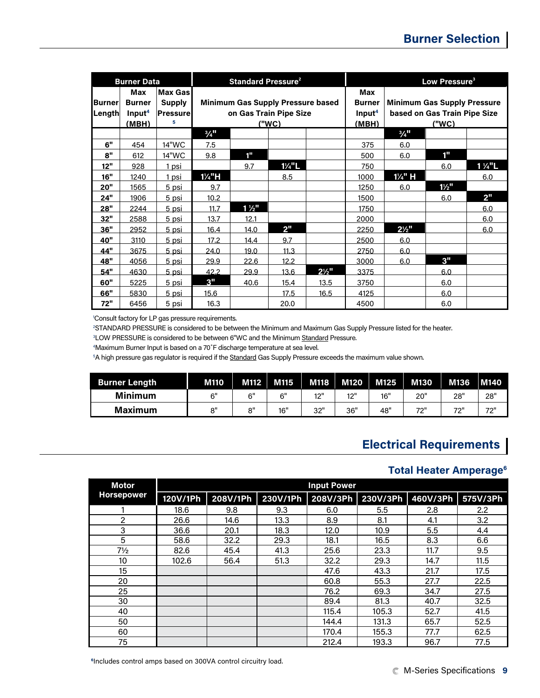|                         | <b>Burner Data</b>                                  |                                                  |                             | <b>Standard Pressure<sup>2</sup></b>                               |                   |                  | Low Pressure <sup>3</sup>                           |                                                                             |                  |                   |  |  |
|-------------------------|-----------------------------------------------------|--------------------------------------------------|-----------------------------|--------------------------------------------------------------------|-------------------|------------------|-----------------------------------------------------|-----------------------------------------------------------------------------|------------------|-------------------|--|--|
| <b>Burner</b><br>Length | Max<br><b>Burner</b><br>Input <sup>4</sup><br>(MBH) | <b>Max Gas</b><br><b>Supply</b><br>Pressure<br>5 |                             | <b>Minimum Gas Supply Pressure based</b><br>on Gas Train Pipe Size | ("WC)             |                  | Max<br><b>Burner</b><br>Input <sup>4</sup><br>(MBH) | <b>Minimum Gas Supply Pressure</b><br>based on Gas Train Pipe Size<br>("WC) |                  |                   |  |  |
|                         |                                                     |                                                  | $\frac{3}{4}$ <sup>11</sup> |                                                                    |                   |                  |                                                     | $\frac{3}{4}$ <sup>11</sup>                                                 |                  |                   |  |  |
| 6"                      | 454                                                 | 14"WC                                            | 7.5                         |                                                                    |                   |                  | 375                                                 | 6.0                                                                         |                  |                   |  |  |
| 8"                      | 612                                                 | 14"WC                                            | 9.8                         | 1"                                                                 |                   |                  | 500                                                 | 6.0                                                                         | $1^{\mathrm{m}}$ |                   |  |  |
| 12"                     | 928                                                 | 1 psi                                            |                             | 9.7                                                                | $1\frac{1}{4}$ "L |                  | 750                                                 |                                                                             | 6.0              | $1\frac{1}{4}$ "L |  |  |
| 16"                     | 1240                                                | 1 psi                                            | $1\frac{1}{4}$ "H           |                                                                    | 8.5               |                  | 1000                                                | 1¼" H                                                                       |                  | 6.0               |  |  |
| 20"                     | 1565                                                | 5 psi                                            | 9.7                         |                                                                    |                   |                  | 1250                                                | 6.0                                                                         | $1\frac{1}{2}$ " |                   |  |  |
| 24"                     | 1906                                                | 5 psi                                            | 10.2                        |                                                                    |                   |                  | 1500                                                |                                                                             | 6.0              | 2"                |  |  |
| 28"                     | 2244                                                | <u>5 psi</u>                                     | 11.7                        | $1\frac{1}{2}$                                                     |                   |                  | 1750                                                |                                                                             |                  | 6.0               |  |  |
| 32"                     | 2588                                                | <u>5 psi</u>                                     | 13.7                        | 12.1                                                               |                   |                  | 2000                                                |                                                                             |                  | 6.0               |  |  |
| 36"                     | 2952                                                | <u>5 psi</u>                                     | 16.4                        | 14.0                                                               | 2"                |                  | 2250                                                | $2\frac{1}{2}$ "                                                            |                  | 6.0               |  |  |
| 40"                     | 3110                                                | 5 psi                                            | 17.2                        | 14.4                                                               | 9.7               |                  | 2500                                                | 6.0                                                                         |                  |                   |  |  |
| <b>44"</b>              | 3675                                                | <u>5 psi</u>                                     | 24.0                        | 19.0                                                               | 11.3              |                  | 2750                                                | 6.0                                                                         |                  |                   |  |  |
| 48"                     | 4056                                                | 5 psi                                            | 29.9                        | 22.6                                                               | 12.2              |                  | 3000                                                | 6.0                                                                         | 3"               |                   |  |  |
| 54"                     | 4630                                                | 5 psi                                            | 42.2                        | 29.9                                                               | 13.6              | $2\frac{1}{2}$ " | 3375                                                |                                                                             | 6.0              |                   |  |  |
| 60"                     | 5225                                                | 5 psi                                            | 3"                          | 40.6                                                               | 15.4              | 13.5             | 3750                                                |                                                                             | 6.0              |                   |  |  |
| 66"                     | 5830                                                | 5 psi                                            | 15.6                        |                                                                    | 17.5              | 16.5             | 4125                                                |                                                                             | 6.0              |                   |  |  |
| 72"                     | 6456                                                | 5 psi                                            | 16.3                        |                                                                    | 20.0              |                  | 4500                                                |                                                                             | 6.0              |                   |  |  |

1 Consult factory for LP gas pressure requirements.

2 STANDARD PRESSURE is considered to be between the Minimum and Maximum Gas Supply Pressure listed for the heater.

<sup>3</sup>LOW PRESSURE is considered to be between 6"WC and the Minimum Standard Pressure.

4 Maximum Burner Input is based on a 70˚F discharge temperature at sea level.

 $^{\rm 5}$ A high pressure gas regulator is required if the <u>Standard</u> Gas Supply Pressure exceeds the maximum value shown.

| <b>Burner Length</b> | <b>M110</b> | M112            | M115 | M118 | M120 | M125 | <b>M130</b> | M136            | <b>M140</b> |
|----------------------|-------------|-----------------|------|------|------|------|-------------|-----------------|-------------|
| <b>Minimum</b>       | ۴"          | 6"              | 6"   | 101  | 12"  | 16"  | 20"         | 28"             | 28"         |
| <b>Maximum</b>       | יי א        | n <sup>II</sup> | 16"  | 32"  | 36"  | 48"  | フワリ<br>-    | フつ=<br><u>.</u> | 72"         |

## **Electrical Requirements**

### **Total Heater Amperage<sup>6</sup>**

| <b>Motor</b>      |          | <b>Input Power</b> |          |          |          |          |          |  |  |  |  |  |  |
|-------------------|----------|--------------------|----------|----------|----------|----------|----------|--|--|--|--|--|--|
| <b>Horsepower</b> | 120V/1Ph | 208V/1Ph           | 230V/1Ph | 208V/3Ph | 230V/3Ph | 460V/3Ph | 575V/3Ph |  |  |  |  |  |  |
|                   | 18.6     | 9.8                | 9.3      | 6.0      | 5.5      | 2.8      | 2.2      |  |  |  |  |  |  |
| $\overline{2}$    | 26.6     | 14.6               | 13.3     | 8.9      | 8.1      | 4.1      | 3.2      |  |  |  |  |  |  |
| 3                 | 36.6     | 20.1               | 18.3     | 12.0     | 10.9     | 5.5      | 4.4      |  |  |  |  |  |  |
| 5                 | 58.6     | 32.2               | 29.3     | 18.1     | 16.5     | 8.3      | 6.6      |  |  |  |  |  |  |
| $7\frac{1}{2}$    | 82.6     | 45.4               | 41.3     | 25.6     | 23.3     | 11.7     | 9.5      |  |  |  |  |  |  |
| 10                | 102.6    | 56.4               | 51.3     | 32.2     | 29.3     | 14.7     | 11.5     |  |  |  |  |  |  |
| 15                |          |                    |          | 47.6     | 43.3     | 21.7     | 17.5     |  |  |  |  |  |  |
| 20                |          |                    |          | 60.8     | 55.3     | 27.7     | 22.5     |  |  |  |  |  |  |
| 25                |          |                    |          | 76.2     | 69.3     | 34.7     | 27.5     |  |  |  |  |  |  |
| 30                |          |                    |          | 89.4     | 81.3     | 40.7     | 32.5     |  |  |  |  |  |  |
| 40                |          |                    |          | 115.4    | 105.3    | 52.7     | 41.5     |  |  |  |  |  |  |
| 50                |          |                    |          | 144.4    | 131.3    | 65.7     | 52.5     |  |  |  |  |  |  |
| 60                |          |                    |          | 170.4    | 155.3    | 77.7     | 62.5     |  |  |  |  |  |  |
| 75                |          |                    |          | 212.4    | 193.3    | 96.7     | 77.5     |  |  |  |  |  |  |

**<sup>6</sup>**Includes control amps based on 300VA control circuitry load.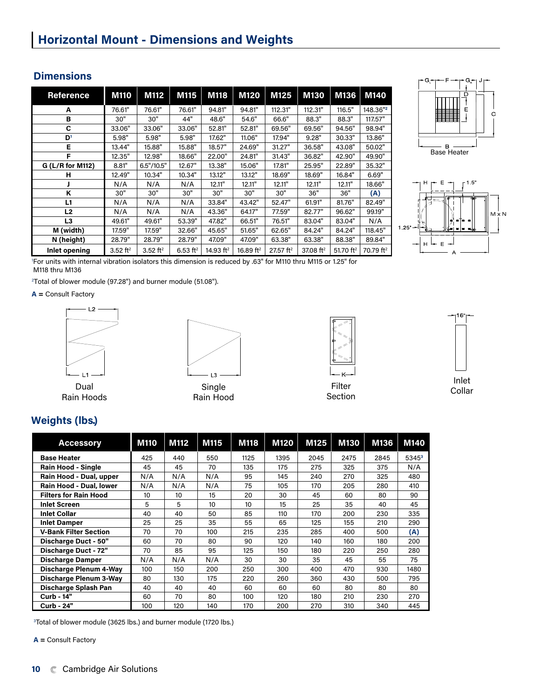## **Dimensions**

| Reference        | <b>M110</b>            | M112                   | M115                   | <b>M118</b>  | M120         | M125                  | M130         | M136         | M140                  |
|------------------|------------------------|------------------------|------------------------|--------------|--------------|-----------------------|--------------|--------------|-----------------------|
| А                | 76.61"                 | 76.61"                 | 76.61"                 | 94.81"       | 94.81"       | 112.31"               | 112.31"      | 116.5"       | 148.36"2              |
| в                | 30"                    | 30"                    | 44"                    | 48.6"        | 54.6"        | 66.6"                 | 88.3"        | 88.3"        | 117.57"               |
| C                | 33.06"                 | 33.06"                 | 33.06"                 | 52.81"       | 52.81"       | 69.56"                | 69.56"       | 94.56"       | 98.94"                |
| D <sup>1</sup>   | 5.98"                  | 5.98"                  | 5.98"                  | 17.62"       | 11.06"       | 17.94"                | 9.28"        | 30.33"       | 13.86"                |
| Е                | 13.44"                 | 15.88"                 | 15.88"                 | 18.57"       | 24.69"       | 31.27"                | 36.58"       | 43.08"       | 50.02"                |
| F                | 12.35"                 | 12.98"                 | 18.66"                 | 22.00"       | 24.81"       | 31.43"                | 36.82"       | 42.90"       | 49.90"                |
| G (L/R for M112) | 8.81"                  | 6.5''/10.5''           | 12.67"                 | 13.38"       | 15.06"       | 17.81"                | 25.95"       | 22.89"       | 35.32"                |
| н                | 12.49"                 | 10.34"                 | 10.34"                 | 13.12"       | 13.12"       | 18.69"                | 18.69"       | 16.84"       | 6.69"                 |
|                  | N/A                    | N/A                    | N/A                    | 12.11"       | 12.11"       | 12.11"                | 12.11"       | 12.11"       | 18.66"                |
| K                | 30"                    | 30"                    | 30"                    | 30"          | 30"          | 30"                   | 36"          | 36"          | (A)                   |
| L1               | N/A                    | N/A                    | N/A                    | 33.84"       | 43.42"       | 52.47"                | 61.91"       | 81.76"       | 82.49"                |
| L <sub>2</sub>   | N/A                    | N/A                    | N/A                    | 43.36"       | 64.17"       | 77.59"                | 82.77"       | 96.62"       | 99.19"                |
| L3               | 49.61"                 | 49.61"                 | 53.39"                 | 47.82"       | 66.51"       | 76.51"                | 83.04"       | 83.04"       | N/A                   |
| M (width)        | 17.59"                 | 17.59"                 | 32.66"                 | 45.65"       | 51.65"       | 62.65"                | 84.24"       | 84.24"       | 118.45"               |
| N (height)       | 28.79"                 | 28.79"                 | 28.79"                 | 47.09"       | 47.09"       | 63.38"                | 63.38"       | 88.38"       | 89.84"                |
| Inlet opening    | $3.52$ ft <sup>2</sup> | $3.52$ ft <sup>2</sup> | $6.53$ ft <sup>2</sup> | 14.93 $ft^2$ | 16.89 $ft^2$ | 27.57 ft <sup>2</sup> | 37.08 $ft^2$ | 51.70 $ft^2$ | 70.79 ft <sup>2</sup> |





1 For units with internal vibration isolators this dimension is reduced by .63" for M110 thru M115 or 1.25" for M118 thru M136

2 Total of blower module (97.28") and burner module (51.08").

**A =** Consult Factory





Dual Rain Hoods

Single Filter Filter Collar Rain Hood



Filter Section



## **Weights (lbs.)**

| <b>Accessory</b>             | <b>M110</b> | <b>M112</b> | M115 | M118            | <b>M120</b> | M125 | <b>M130</b> | M136 | M140     |
|------------------------------|-------------|-------------|------|-----------------|-------------|------|-------------|------|----------|
| <b>Base Heater</b>           | 425         | 440         | 550  | 1125            | 1395        | 2045 | 2475        | 2845 | $5345^3$ |
| <b>Rain Hood - Single</b>    | 45          | 45          | 70   | 135             | 175         | 275  | 325         | 375  | N/A      |
| Rain Hood - Dual, upper      | N/A         | N/A         | N/A  | 95              | 145         | 240  | 270         | 325  | 480      |
| Rain Hood - Dual, lower      | N/A         | N/A         | N/A  | 75              | 105         | 170  | 205         | 280  | 410      |
| <b>Filters for Rain Hood</b> | 10          | 10          | 15   | 20              | 30          | 45   | 60          | 80   | 90       |
| <b>Inlet Screen</b>          | 5           | 5           | 10   | 10 <sup>2</sup> | 15          | 25   | 35          | 40   | 45       |
| <b>Inlet Collar</b>          | 40          | 40          | 50   | 85              | 110         | 170  | 200         | 230  | 335      |
| <b>Inlet Damper</b>          | 25          | 25          | 35   | 55              | 65          | 125  | 155         | 210  | 290      |
| <b>V-Bank Filter Section</b> | 70          | 70          | 100  | 215             | 235         | 285  | 400         | 500  | (A)      |
| Discharge Duct - 50"         | 60          | 70          | 80   | 90              | 120         | 140  | 160         | 180  | 200      |
| Discharge Duct - 72"         | 70          | 85          | 95   | 125             | 150         | 180  | 220         | 250  | 280      |
| <b>Discharge Damper</b>      | N/A         | N/A         | N/A  | 30              | 30          | 35   | 45          | 55   | 75       |
| Discharge Plenum 4-Way       | 100         | 150         | 200  | 250             | 300         | 400  | 470         | 930  | 1480     |
| Discharge Plenum 3-Way       | 80          | 130         | 175  | 220             | 260         | 360  | 430         | 500  | 795      |
| Discharge Splash Pan         | 40          | 40          | 40   | 60              | 60          | 60   | 80          | 80   | 80       |
| Curb - 14"                   | 60          | 70          | 80   | 100             | 120         | 180  | 210         | 230  | 270      |
| Curb - 24"                   | 100         | 120         | 140  | 170             | 200         | 270  | 310         | 340  | 445      |

3 Total of blower module (3625 lbs.) and burner module (1720 lbs.)

**A =** Consult Factory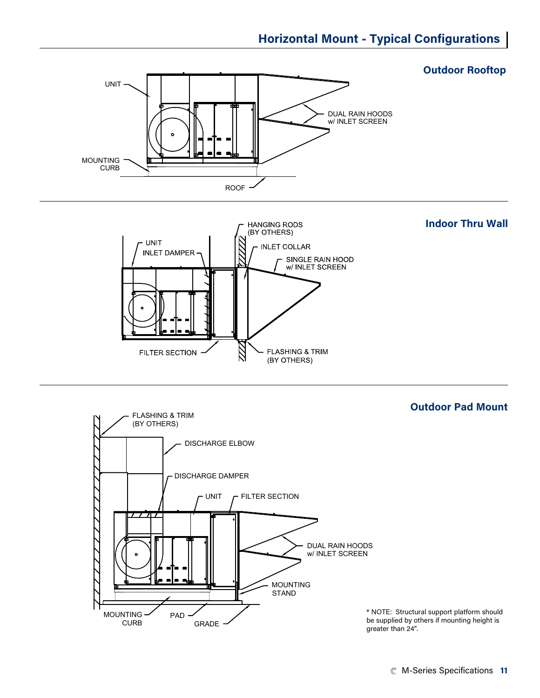



\* NOTE: Structural support platform should be supplied by others if mounting height is greater than 24".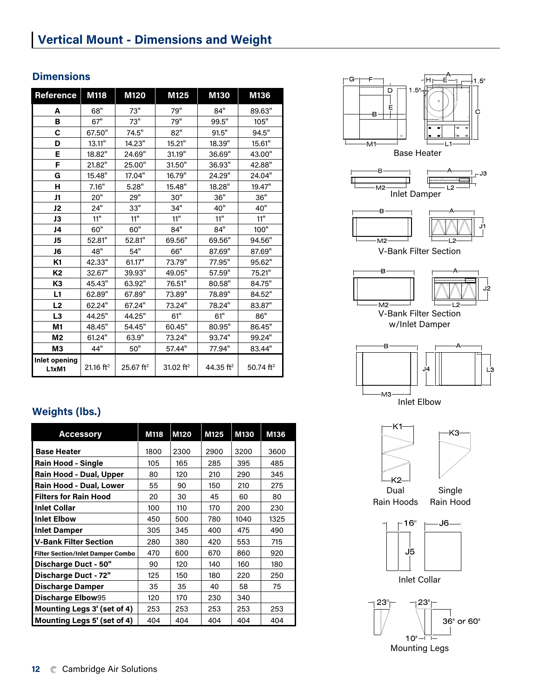# **Vertical Mount - Dimensions and Weight**

## **Dimensions**

| Reference              | M118                  | M120                    | M125                  | M130                  | M136         |
|------------------------|-----------------------|-------------------------|-----------------------|-----------------------|--------------|
| А                      | 68"                   | 73"                     | 79"                   | 84"                   | 89.63"       |
| в                      | 67"                   | 73"                     | 79"                   | 99.5"                 | 105"         |
| C                      | 67.50"                | 74.5"                   | 82"                   | 91.5"                 | 94.5"        |
| D                      | 13.11"                | 14.23"                  | 15.21"                | 18.39"                | 15.61"       |
| E                      | 18.82"                | 24.69"                  | 31.19"                | 36.69"                | 43.00"       |
| F                      | 21.82"                | 25.00"                  | 31.50"                | 36.93"                | 42,88"       |
| G                      | 15.48"                | 17.04"                  | 16.79"                | 24.29"                | 24.04"       |
| н                      | 7.16"                 | 5.28"                   | 15.48"                | 18.28"                | 19,47"       |
| J1                     | 20"                   | 29"                     | 30"                   | 36"                   | 36"          |
| J2                     | 24"                   | 33"                     | 34"                   | 40"                   | 40"          |
| JЗ                     | 11"                   | 11"                     | 11"                   | 11"                   | 11"          |
| J4                     | 60"                   | 60"                     | 84"                   | 84"                   | 100"         |
| J5                     | 52.81"                | 52.81"                  | 69.56"                | 69.56"                | 94.56"       |
| J6                     | 48"                   | 54"                     | 66"                   | 87.69"                | 87,69"       |
| K1                     | 42.33"                | 61.17"                  | 73.79"                | 77.95"                | 95.62"       |
| K <sub>2</sub>         | 32,67"                | 39.93"                  | 49.05"                | 57.59"                | 75.21"       |
| K <sub>3</sub>         | 45.43"                | 63.92"                  | 76.51"                | 80.58"                | 84.75"       |
| L1                     | 62.89"                | 67.89"                  | 73.89"                | 78.89"                | 84.52"       |
| L2                     | 62.24"                | 67.24"                  | 73.24"                | 78.24"                | 83.87"       |
| L3                     | 44.25"                | 44.25"                  | 61"                   | 61"                   | 86"          |
| M1                     | 48.45"                | 54.45"                  | 60.45"                | 80.95"                | 86.45"       |
| M2                     | 61.24"                | 63.9"                   | 73.24"                | 93.74"                | 99.24"       |
| MЗ                     | 44"                   | 50"                     | 57.44"                | 77.94"                | 83.44"       |
| Inlet opening<br>L1xM1 | 21.16 ft <sup>2</sup> | $25.67$ ft <sup>2</sup> | 31.02 ft <sup>2</sup> | 44.35 ft <sup>2</sup> | 50.74 $ft^2$ |

## **Weights (lbs.)**

| <b>Accessory</b>                         | M118 | M120 | M125 | <b>M130</b> | M136 |
|------------------------------------------|------|------|------|-------------|------|
| <b>Base Heater</b>                       | 1800 | 2300 | 2900 | 3200        | 3600 |
| Rain Hood - Single                       | 105  | 165  | 285  | 395         | 485  |
| Rain Hood - Dual, Upper                  | 80   | 120  | 210  | 290         | 345  |
| Rain Hood - Dual, Lower                  | 55   | 90   | 150  | 210         | 275  |
| <b>Filters for Rain Hood</b>             | 20   | 30   | 45   | 60          | 80   |
| <b>Inlet Collar</b>                      | 100  | 110  | 170  | 200         | 230  |
| <b>Inlet Elbow</b>                       | 450  | 500  | 780  | 1040        | 1325 |
| <b>Inlet Damper</b>                      | 305  | 345  | 400  | 475         | 490  |
| <b>V-Bank Filter Section</b>             | 280  | 380  | 420  | 553         | 715  |
| <b>Filter Section/Inlet Damper Combo</b> | 470  | 600  | 670  | 860         | 920  |
| Discharge Duct - 50"                     | 90   | 120  | 140  | 160         | 180  |
| Discharge Duct - 72"                     | 125  | 150  | 180  | 220         | 250  |
| <b>Discharge Damper</b>                  | 35   | 35   | 40   | 58          | 75   |
| Discharge Elbow95                        | 120  | 170  | 230  | 340         |      |
| Mounting Legs 3' (set of 4)              | 253  | 253  | 253  | 253         | 253  |
| Mounting Legs 5' (set of 4)              | 404  | 404  | 404  | 404         | 404  |



Mounting Legs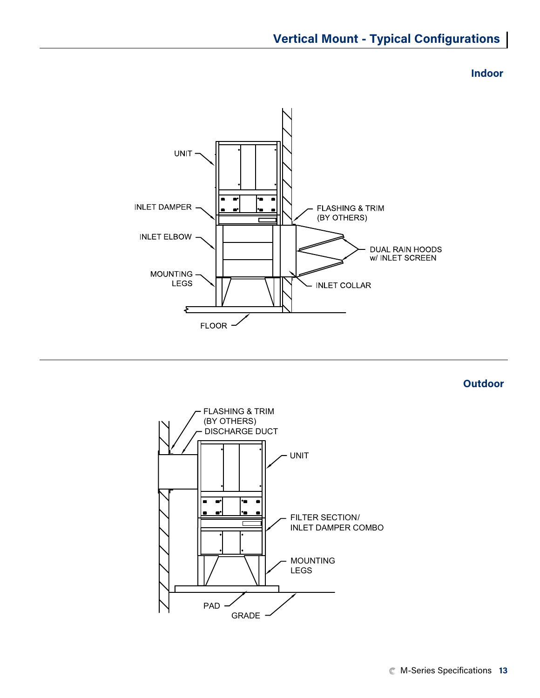## **Vertical Mount - Typical Configurations**

**Indoor**



**Outdoor**

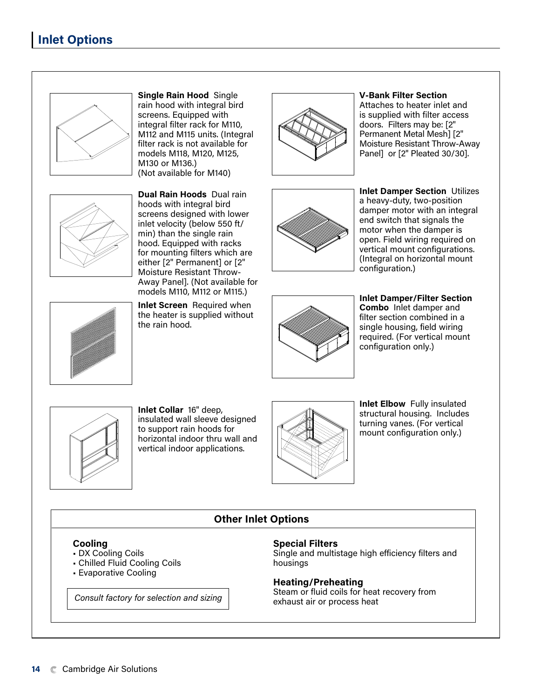

**Single Rain Hood** Single rain hood with integral bird screens. Equipped with integral filter rack for M110, M112 and M115 units. (Integral filter rack is not available for models M118, M120, M125, M130 or M136.) (Not available for M140)



**Dual Rain Hoods** Dual rain hoods with integral bird screens designed with lower inlet velocity (below 550 ft/ min) than the single rain hood. Equipped with racks for mounting filters which are either [2" Permanent] or [2" Moisture Resistant Throw-Away Panel]. (Not available for models M110, M112 or M115.)

**Inlet Screen** Required when the heater is supplied without the rain hood.



#### **V-Bank Filter Section**  Attaches to heater inlet and

is supplied with filter access doors. Filters may be: [2" Permanent Metal Mesh] [2" Moisture Resistant Throw-Away Panel] or [2" Pleated 30/30].



**Inlet Damper Section** Utilizes a heavy-duty, two-position damper motor with an integral end switch that signals the motor when the damper is open. Field wiring required on vertical mount configurations. (Integral on horizontal mount configuration.)



**Inlet Damper/Filter Section Combo** Inlet damper and filter section combined in a single housing, field wiring required. (For vertical mount configuration only.)



**Inlet Collar** 16" deep, insulated wall sleeve designed to support rain hoods for horizontal indoor thru wall and vertical indoor applications.



**Inlet Elbow** Fully insulated structural housing. Includes turning vanes. (For vertical mount configuration only.)

## **Cooling**

- DX Cooling Coils
- Chilled Fluid Cooling Coils
- Evaporative Cooling

exhaust air or process heat *Consult factory for selection and sizing*

#### **Special Filters**

**Other Inlet Options**

Single and multistage high efficiency filters and housings

### **Heating/Preheating**

Steam or fluid coils for heat recovery from

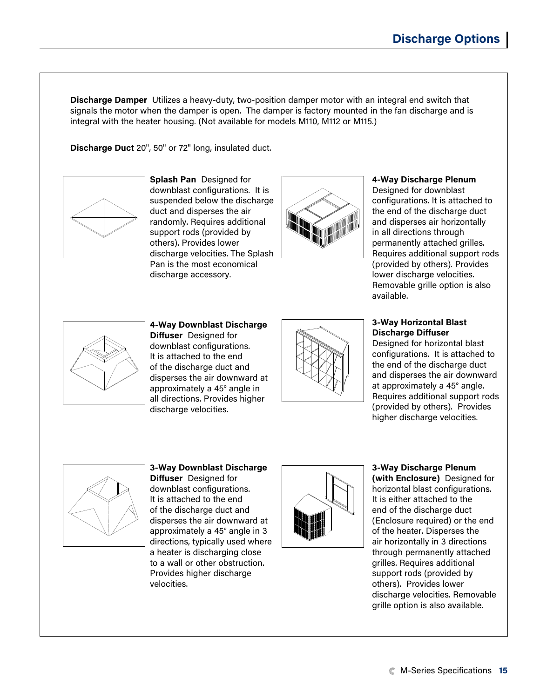**Discharge Damper** Utilizes a heavy-duty, two-position damper motor with an integral end switch that signals the motor when the damper is open. The damper is factory mounted in the fan discharge and is integral with the heater housing. (Not available for models M110, M112 or M115.)

**Discharge Duct** 20", 50" or 72" long, insulated duct.



**Splash Pan** Designed for downblast configurations. It is suspended below the discharge duct and disperses the air randomly. Requires additional support rods (provided by others). Provides lower discharge velocities. The Splash Pan is the most economical discharge accessory.



## **4-Way Discharge Plenum**

Designed for downblast configurations. It is attached to the end of the discharge duct and disperses air horizontally in all directions through permanently attached grilles. Requires additional support rods (provided by others). Provides lower discharge velocities. Removable grille option is also available.



#### **4-Way Downblast Discharge Diffuser** Designed for downblast configurations. It is attached to the end of the discharge duct and disperses the air downward at approximately a 45° angle in all directions. Provides higher discharge velocities.



## **3-Way Horizontal Blast Discharge Diffuser**

Designed for horizontal blast configurations. It is attached to the end of the discharge duct and disperses the air downward at approximately a 45° angle. Requires additional support rods (provided by others). Provides higher discharge velocities.



#### **3-Way Downblast Discharge Diffuser** Designed for

downblast configurations. It is attached to the end of the discharge duct and disperses the air downward at approximately a 45° angle in 3 directions, typically used where a heater is discharging close to a wall or other obstruction. Provides higher discharge velocities.



#### **3-Way Discharge Plenum (with Enclosure)** Designed for horizontal blast configurations. It is either attached to the end of the discharge duct (Enclosure required) or the end of the heater. Disperses the air horizontally in 3 directions through permanently attached grilles. Requires additional support rods (provided by others). Provides lower discharge velocities. Removable grille option is also available.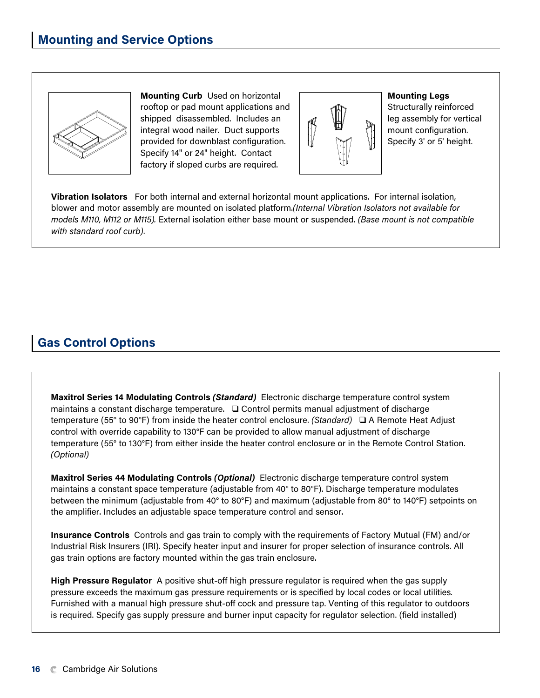

**Mounting Curb** Used on horizontal rooftop or pad mount applications and shipped disassembled. Includes an integral wood nailer. Duct supports provided for downblast configuration. Specify 14" or 24" height. Contact factory if sloped curbs are required.



**Mounting Legs**

Structurally reinforced leg assembly for vertical mount configuration. Specify 3' or 5' height.

**Vibration Isolators** For both internal and external horizontal mount applications. For internal isolation, blower and motor assembly are mounted on isolated platform.*(Internal Vibration Isolators not available for models M110, M112 or M115).* External isolation either base mount or suspended. *(Base mount is not compatible with standard roof curb)*.

# **Gas Control Options**

**Maxitrol Series 14 Modulating Controls** *(Standard)*Electronic discharge temperature control system maintains a constant discharge temperature. ❑ Control permits manual adjustment of discharge temperature (55° to 90°F) from inside the heater control enclosure. *(Standard)* ❑ A Remote Heat Adjust control with override capability to 130°F can be provided to allow manual adjustment of discharge temperature (55° to 130°F) from either inside the heater control enclosure or in the Remote Control Station. *(Optional)*

**Maxitrol Series 44 Modulating Controls** *(Optional)*Electronic discharge temperature control system maintains a constant space temperature (adjustable from 40° to 80°F). Discharge temperature modulates between the minimum (adjustable from 40° to 80°F) and maximum (adjustable from 80° to 140°F) setpoints on the amplifier. Includes an adjustable space temperature control and sensor.

**Insurance Controls** Controls and gas train to comply with the requirements of Factory Mutual (FM) and/or Industrial Risk Insurers (IRI). Specify heater input and insurer for proper selection of insurance controls. All gas train options are factory mounted within the gas train enclosure.

**High Pressure Regulator** A positive shut-off high pressure regulator is required when the gas supply pressure exceeds the maximum gas pressure requirements or is specified by local codes or local utilities. Furnished with a manual high pressure shut-off cock and pressure tap. Venting of this regulator to outdoors is required. Specify gas supply pressure and burner input capacity for regulator selection. (field installed)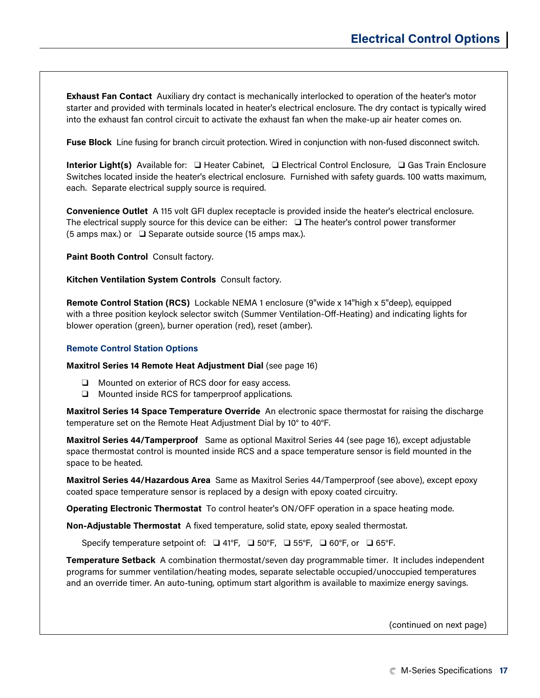**Exhaust Fan Contact** Auxiliary dry contact is mechanically interlocked to operation of the heater's motor starter and provided with terminals located in heater's electrical enclosure. The dry contact is typically wired into the exhaust fan control circuit to activate the exhaust fan when the make-up air heater comes on.

**Fuse Block** Line fusing for branch circuit protection. Wired in conjunction with non-fused disconnect switch.

**Interior Light(s)** Available for: ❑ Heater Cabinet, ❑ Electrical Control Enclosure, ❑ Gas Train Enclosure Switches located inside the heater's electrical enclosure. Furnished with safety guards. 100 watts maximum, each. Separate electrical supply source is required.

**Convenience Outlet** A 115 volt GFI duplex receptacle is provided inside the heater's electrical enclosure. The electrical supply source for this device can be either: ❑ The heater's control power transformer (5 amps max.) or ❑ Separate outside source (15 amps max.).

**Paint Booth Control** Consult factory.

**Kitchen Ventilation System Controls** Consult factory.

**Remote Control Station (RCS)** Lockable NEMA 1 enclosure (9"wide x 14"high x 5"deep), equipped with a three position keylock selector switch (Summer Ventilation-Off-Heating) and indicating lights for blower operation (green), burner operation (red), reset (amber).

#### **Remote Control Station Options**

**Maxitrol Series 14 Remote Heat Adjustment Dial** (see page 16)

- ❑ Mounted on exterior of RCS door for easy access.
- ❑ Mounted inside RCS for tamperproof applications.

**Maxitrol Series 14 Space Temperature Override** An electronic space thermostat for raising the discharge temperature set on the Remote Heat Adjustment Dial by 10° to 40°F.

**Maxitrol Series 44/Tamperproof** Same as optional Maxitrol Series 44 (see page 16), except adjustable space thermostat control is mounted inside RCS and a space temperature sensor is field mounted in the space to be heated.

**Maxitrol Series 44/Hazardous Area** Same as Maxitrol Series 44/Tamperproof (see above), except epoxy coated space temperature sensor is replaced by a design with epoxy coated circuitry.

**Operating Electronic Thermostat** To control heater's ON/OFF operation in a space heating mode.

**Non-Adjustable Thermostat** A fixed temperature, solid state, epoxy sealed thermostat.

Specify temperature setpoint of: ❑ 41°F, ❑ 50°F, ❑ 55°F, ❑ 60°F, or ❑ 65°F.

**Temperature Setback** A combination thermostat/seven day programmable timer. It includes independent programs for summer ventilation/heating modes, separate selectable occupied/unoccupied temperatures and an override timer. An auto-tuning, optimum start algorithm is available to maximize energy savings.

(continued on next page)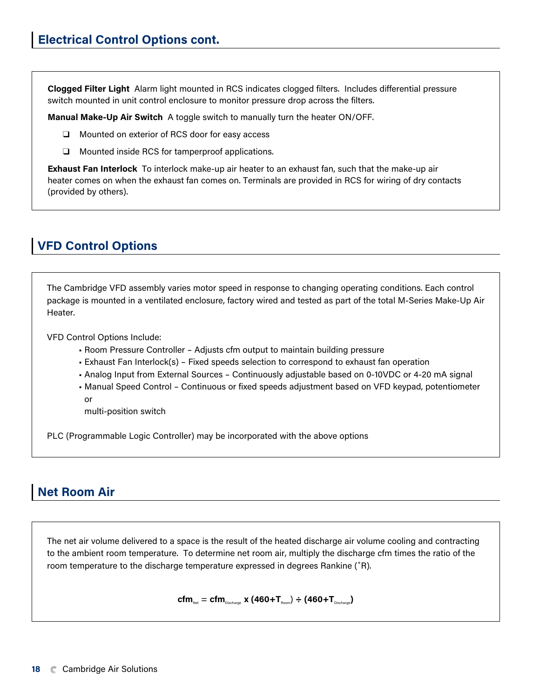**Clogged Filter Light** Alarm light mounted in RCS indicates clogged filters. Includes differential pressure switch mounted in unit control enclosure to monitor pressure drop across the filters.

**Manual Make-Up Air Switch** A toggle switch to manually turn the heater ON/OFF.

- ❑ Mounted on exterior of RCS door for easy access
- ❑ Mounted inside RCS for tamperproof applications.

**Exhaust Fan Interlock** To interlock make-up air heater to an exhaust fan, such that the make-up air heater comes on when the exhaust fan comes on. Terminals are provided in RCS for wiring of dry contacts (provided by others).

## **VFD Control Options**

The Cambridge VFD assembly varies motor speed in response to changing operating conditions. Each control package is mounted in a ventilated enclosure, factory wired and tested as part of the total M-Series Make-Up Air Heater.

VFD Control Options Include:

- Room Pressure Controller Adjusts cfm output to maintain building pressure
- Exhaust Fan Interlock(s) Fixed speeds selection to correspond to exhaust fan operation
- Analog Input from External Sources Continuously adjustable based on 0-10VDC or 4-20 mA signal
- Manual Speed Control Continuous or fixed speeds adjustment based on VFD keypad, potentiometer or

multi-position switch

PLC (Programmable Logic Controller) may be incorporated with the above options

## **Net Room Air**

The net air volume delivered to a space is the result of the heated discharge air volume cooling and contracting to the ambient room temperature. To determine net room air, multiply the discharge cfm times the ratio of the room temperature to the discharge temperature expressed in degrees Rankine (˚R).

 $\textbf{cfm}_{\text{Net}} = \textbf{cfm}_{\text{Discharge}} \times (460+\textbf{T}_{\text{Room}}) \div (460+\textbf{T}_{\text{Discharge}})$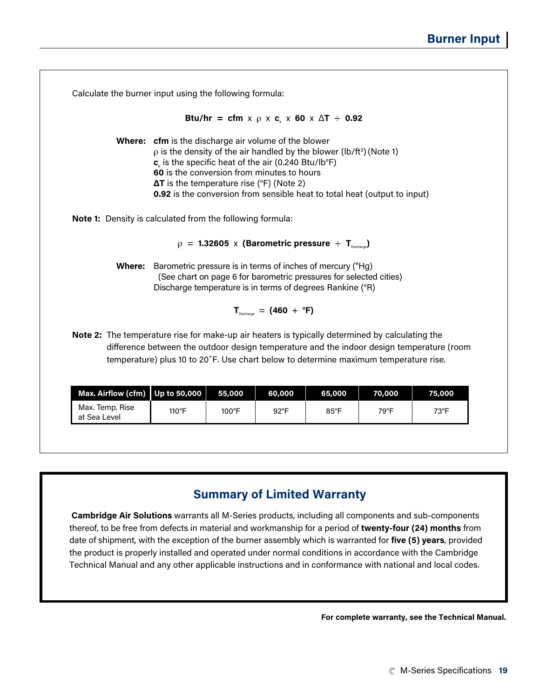|                                                                                                 |                                                                                                                                                                                                                                                                                                                                                                                              |        |                                            | Btu/hr = cfm x $\rho$ x c, x 60 x $\Delta T$ ÷ 0.92                     |        |                                                                                           |
|-------------------------------------------------------------------------------------------------|----------------------------------------------------------------------------------------------------------------------------------------------------------------------------------------------------------------------------------------------------------------------------------------------------------------------------------------------------------------------------------------------|--------|--------------------------------------------|-------------------------------------------------------------------------|--------|-------------------------------------------------------------------------------------------|
|                                                                                                 | <b>Where:</b> cfm is the discharge air volume of the blower<br>$\rho$ is the density of the air handled by the blower (lb/ft <sup>3</sup> ) (Note 1)<br>$cc$ is the specific heat of the air (0.240 Btu/lb°F)<br>60 is the conversion from minutes to hours<br>$\Delta T$ is the temperature rise (°F) (Note 2)<br>0.92 is the conversion from sensible heat to total heat (output to input) |        |                                            |                                                                         |        |                                                                                           |
| <b>Note 1:</b> Density is calculated from the following formula:                                |                                                                                                                                                                                                                                                                                                                                                                                              |        |                                            |                                                                         |        |                                                                                           |
|                                                                                                 |                                                                                                                                                                                                                                                                                                                                                                                              |        |                                            |                                                                         |        |                                                                                           |
|                                                                                                 |                                                                                                                                                                                                                                                                                                                                                                                              |        |                                            | $\rho$ = 1.32605 x (Barometric pressure $\div$ T <sub>Discharge</sub> ) |        |                                                                                           |
|                                                                                                 | <b>Where:</b> Barometric pressure is in terms of inches of mercury ("Hg)<br>Discharge temperature is in terms of degrees Rankine (°R)                                                                                                                                                                                                                                                        |        |                                            | (See chart on page 6 for barometric pressures for selected cities)      |        |                                                                                           |
|                                                                                                 |                                                                                                                                                                                                                                                                                                                                                                                              |        | $T_{\text{Dischance}} = (460 + \text{°F})$ |                                                                         |        |                                                                                           |
| Note 2: The temperature rise for make-up air heaters is typically determined by calculating the | temperature) plus 10 to 20°F. Use chart below to determine maximum temperature rise.                                                                                                                                                                                                                                                                                                         |        |                                            |                                                                         |        | difference between the outdoor design temperature and the indoor design temperature (room |
|                                                                                                 |                                                                                                                                                                                                                                                                                                                                                                                              | 55,000 | 60,000                                     | 65,000                                                                  | 70,000 | 75,000                                                                                    |
| Max. Airflow (cfm)                                                                              | Up to 50,000                                                                                                                                                                                                                                                                                                                                                                                 |        |                                            |                                                                         |        |                                                                                           |

## **Summary of Limited Warranty**

 **Cambridge Air Solutions** warrants all M-Series products, including all components and sub-components thereof, to be free from defects in material and workmanship for a period of **twenty-four (24) months** from date of shipment, with the exception of the burner assembly which is warranted for **five (5) years**, provided the product is properly installed and operated under normal conditions in accordance with the Cambridge Technical Manual and any other applicable instructions and in conformance with national and local codes.

**For complete warranty, see the Technical Manual.**